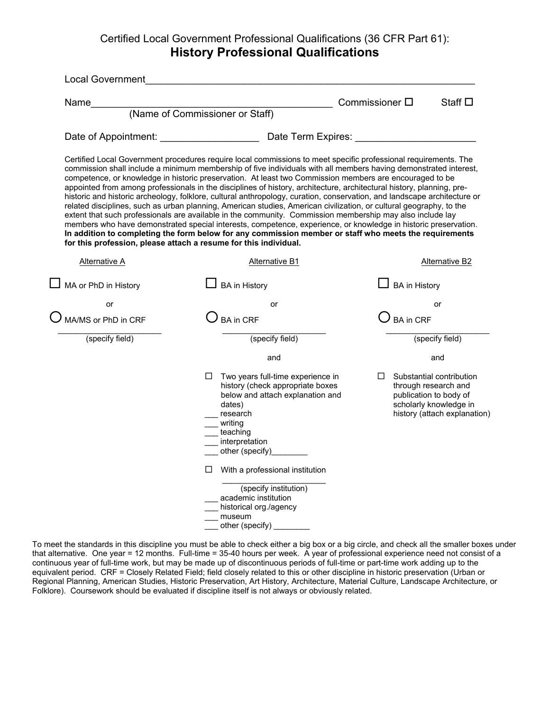## Certified Local Government Professional Qualifications (36 CFR Part 61): **History Professional Qualifications**

| <b>Local Government</b> |                                                                                                                                                                                                                                                                                                                                                                                                                                                                                                                                                                                                                                                                                                                                                                                                                                                                                                                                                                                                                                                                                                                                          |                        |                                                                                                                                      |
|-------------------------|------------------------------------------------------------------------------------------------------------------------------------------------------------------------------------------------------------------------------------------------------------------------------------------------------------------------------------------------------------------------------------------------------------------------------------------------------------------------------------------------------------------------------------------------------------------------------------------------------------------------------------------------------------------------------------------------------------------------------------------------------------------------------------------------------------------------------------------------------------------------------------------------------------------------------------------------------------------------------------------------------------------------------------------------------------------------------------------------------------------------------------------|------------------------|--------------------------------------------------------------------------------------------------------------------------------------|
| Name                    | (Name of Commissioner or Staff)                                                                                                                                                                                                                                                                                                                                                                                                                                                                                                                                                                                                                                                                                                                                                                                                                                                                                                                                                                                                                                                                                                          | Commissioner $\square$ | Staff $\square$                                                                                                                      |
|                         |                                                                                                                                                                                                                                                                                                                                                                                                                                                                                                                                                                                                                                                                                                                                                                                                                                                                                                                                                                                                                                                                                                                                          |                        |                                                                                                                                      |
|                         |                                                                                                                                                                                                                                                                                                                                                                                                                                                                                                                                                                                                                                                                                                                                                                                                                                                                                                                                                                                                                                                                                                                                          |                        |                                                                                                                                      |
|                         | Certified Local Government procedures require local commissions to meet specific professional requirements. The<br>commission shall include a minimum membership of five individuals with all members having demonstrated interest,<br>competence, or knowledge in historic preservation. At least two Commission members are encouraged to be<br>appointed from among professionals in the disciplines of history, architecture, architectural history, planning, pre-<br>historic and historic archeology, folklore, cultural anthropology, curation, conservation, and landscape architecture or<br>related disciplines, such as urban planning, American studies, American civilization, or cultural geography, to the<br>extent that such professionals are available in the community. Commission membership may also include lay<br>members who have demonstrated special interests, competence, experience, or knowledge in historic preservation.<br>In addition to completing the form below for any commission member or staff who meets the requirements<br>for this profession, please attach a resume for this individual. |                        |                                                                                                                                      |
| Alternative A           | Alternative B1                                                                                                                                                                                                                                                                                                                                                                                                                                                                                                                                                                                                                                                                                                                                                                                                                                                                                                                                                                                                                                                                                                                           |                        | Alternative B2                                                                                                                       |
| MA or PhD in History    | <b>BA</b> in History                                                                                                                                                                                                                                                                                                                                                                                                                                                                                                                                                                                                                                                                                                                                                                                                                                                                                                                                                                                                                                                                                                                     |                        | <b>BA</b> in History                                                                                                                 |
| or                      | or                                                                                                                                                                                                                                                                                                                                                                                                                                                                                                                                                                                                                                                                                                                                                                                                                                                                                                                                                                                                                                                                                                                                       |                        | or                                                                                                                                   |
| MA/MS or PhD in CRF     | <b>BA</b> in CRF                                                                                                                                                                                                                                                                                                                                                                                                                                                                                                                                                                                                                                                                                                                                                                                                                                                                                                                                                                                                                                                                                                                         |                        | BA in CRF                                                                                                                            |
| (specify field)         | (specify field)                                                                                                                                                                                                                                                                                                                                                                                                                                                                                                                                                                                                                                                                                                                                                                                                                                                                                                                                                                                                                                                                                                                          |                        | (specify field)                                                                                                                      |
|                         | and                                                                                                                                                                                                                                                                                                                                                                                                                                                                                                                                                                                                                                                                                                                                                                                                                                                                                                                                                                                                                                                                                                                                      |                        | and                                                                                                                                  |
|                         | Two years full-time experience in<br>$\Box$<br>history (check appropriate boxes<br>below and attach explanation and<br>dates)<br>research<br>writing<br>teaching<br>interpretation<br>other (specify)<br>$\Box$<br>With a professional institution<br>(specify institution)<br>academic institution<br>historical org./agency<br>museum                                                                                                                                                                                                                                                                                                                                                                                                                                                                                                                                                                                                                                                                                                                                                                                                  | $\Box$                 | Substantial contribution<br>through research and<br>publication to body of<br>scholarly knowledge in<br>history (attach explanation) |

To meet the standards in this discipline you must be able to check either a big box or a big circle, and check all the smaller boxes under that alternative. One year = 12 months. Full-time = 35-40 hours per week. A year of professional experience need not consist of a continuous year of full-time work, but may be made up of discontinuous periods of full-time or part-time work adding up to the equivalent period. CRF = Closely Related Field; field closely related to this or other discipline in historic preservation (Urban or Regional Planning, American Studies, Historic Preservation, Art History, Architecture, Material Culture, Landscape Architecture, or Folklore). Coursework should be evaluated if discipline itself is not always or obviously related.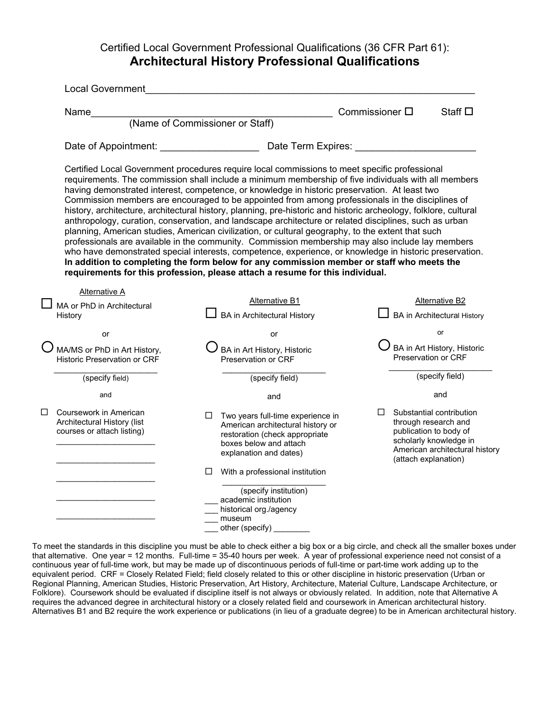#### Certified Local Government Professional Qualifications (36 CFR Part 61): **Architectural History Professional Qualifications**

| <b>Local Government</b>                                                             |                                                                                                                                                                                                                                                                                                                                                                                                                                                                                                                                                                                                                                                                                                                                                                                                                                                                                                                                                                                                                                                                                                                                            |                        |                                                                                                                                                                |
|-------------------------------------------------------------------------------------|--------------------------------------------------------------------------------------------------------------------------------------------------------------------------------------------------------------------------------------------------------------------------------------------------------------------------------------------------------------------------------------------------------------------------------------------------------------------------------------------------------------------------------------------------------------------------------------------------------------------------------------------------------------------------------------------------------------------------------------------------------------------------------------------------------------------------------------------------------------------------------------------------------------------------------------------------------------------------------------------------------------------------------------------------------------------------------------------------------------------------------------------|------------------------|----------------------------------------------------------------------------------------------------------------------------------------------------------------|
| Name                                                                                |                                                                                                                                                                                                                                                                                                                                                                                                                                                                                                                                                                                                                                                                                                                                                                                                                                                                                                                                                                                                                                                                                                                                            | Commissioner $\square$ | Staff $\square$                                                                                                                                                |
|                                                                                     | (Name of Commissioner or Staff)                                                                                                                                                                                                                                                                                                                                                                                                                                                                                                                                                                                                                                                                                                                                                                                                                                                                                                                                                                                                                                                                                                            |                        |                                                                                                                                                                |
| Date of Appointment: Date of Appointment:                                           | Date Term Expires:                                                                                                                                                                                                                                                                                                                                                                                                                                                                                                                                                                                                                                                                                                                                                                                                                                                                                                                                                                                                                                                                                                                         |                        |                                                                                                                                                                |
|                                                                                     | Certified Local Government procedures require local commissions to meet specific professional<br>requirements. The commission shall include a minimum membership of five individuals with all members<br>having demonstrated interest, competence, or knowledge in historic preservation. At least two<br>Commission members are encouraged to be appointed from among professionals in the disciplines of<br>history, architecture, architectural history, planning, pre-historic and historic archeology, folklore, cultural<br>anthropology, curation, conservation, and landscape architecture or related disciplines, such as urban<br>planning, American studies, American civilization, or cultural geography, to the extent that such<br>professionals are available in the community. Commission membership may also include lay members<br>who have demonstrated special interests, competence, experience, or knowledge in historic preservation.<br>In addition to completing the form below for any commission member or staff who meets the<br>requirements for this profession, please attach a resume for this individual. |                        |                                                                                                                                                                |
| Alternative A                                                                       |                                                                                                                                                                                                                                                                                                                                                                                                                                                                                                                                                                                                                                                                                                                                                                                                                                                                                                                                                                                                                                                                                                                                            |                        |                                                                                                                                                                |
| MA or PhD in Architectural                                                          | <b>Alternative B1</b>                                                                                                                                                                                                                                                                                                                                                                                                                                                                                                                                                                                                                                                                                                                                                                                                                                                                                                                                                                                                                                                                                                                      |                        | Alternative B2                                                                                                                                                 |
| History                                                                             | <b>BA</b> in Architectural History                                                                                                                                                                                                                                                                                                                                                                                                                                                                                                                                                                                                                                                                                                                                                                                                                                                                                                                                                                                                                                                                                                         |                        | <b>BA</b> in Architectural History                                                                                                                             |
| or                                                                                  | or                                                                                                                                                                                                                                                                                                                                                                                                                                                                                                                                                                                                                                                                                                                                                                                                                                                                                                                                                                                                                                                                                                                                         |                        | or                                                                                                                                                             |
| MA/MS or PhD in Art History,<br><b>Historic Preservation or CRF</b>                 | BA in Art History, Historic<br>Preservation or CRF                                                                                                                                                                                                                                                                                                                                                                                                                                                                                                                                                                                                                                                                                                                                                                                                                                                                                                                                                                                                                                                                                         |                        | BA in Art History, Historic<br>Preservation or CRF                                                                                                             |
| (specify field)                                                                     | (specify field)                                                                                                                                                                                                                                                                                                                                                                                                                                                                                                                                                                                                                                                                                                                                                                                                                                                                                                                                                                                                                                                                                                                            |                        | (specify field)                                                                                                                                                |
| and                                                                                 | and                                                                                                                                                                                                                                                                                                                                                                                                                                                                                                                                                                                                                                                                                                                                                                                                                                                                                                                                                                                                                                                                                                                                        |                        | and                                                                                                                                                            |
| Coursework in American<br>Architectural History (list<br>courses or attach listing) | Two years full-time experience in<br>□<br>American architectural history or<br>restoration (check appropriate<br>boxes below and attach<br>explanation and dates)                                                                                                                                                                                                                                                                                                                                                                                                                                                                                                                                                                                                                                                                                                                                                                                                                                                                                                                                                                          |                        | Substantial contribution<br>through research and<br>publication to body of<br>scholarly knowledge in<br>American architectural history<br>(attach explanation) |
|                                                                                     | With a professional institution<br>□                                                                                                                                                                                                                                                                                                                                                                                                                                                                                                                                                                                                                                                                                                                                                                                                                                                                                                                                                                                                                                                                                                       |                        |                                                                                                                                                                |
|                                                                                     | (specify institution)                                                                                                                                                                                                                                                                                                                                                                                                                                                                                                                                                                                                                                                                                                                                                                                                                                                                                                                                                                                                                                                                                                                      |                        |                                                                                                                                                                |
|                                                                                     | academic institution<br>historical org./agency                                                                                                                                                                                                                                                                                                                                                                                                                                                                                                                                                                                                                                                                                                                                                                                                                                                                                                                                                                                                                                                                                             |                        |                                                                                                                                                                |
|                                                                                     | museum                                                                                                                                                                                                                                                                                                                                                                                                                                                                                                                                                                                                                                                                                                                                                                                                                                                                                                                                                                                                                                                                                                                                     |                        |                                                                                                                                                                |
|                                                                                     | other (specify)                                                                                                                                                                                                                                                                                                                                                                                                                                                                                                                                                                                                                                                                                                                                                                                                                                                                                                                                                                                                                                                                                                                            |                        |                                                                                                                                                                |

To meet the standards in this discipline you must be able to check either a big box or a big circle, and check all the smaller boxes under that alternative. One year = 12 months. Full-time = 35-40 hours per week. A year of professional experience need not consist of a continuous year of full-time work, but may be made up of discontinuous periods of full-time or part-time work adding up to the equivalent period. CRF = Closely Related Field; field closely related to this or other discipline in historic preservation (Urban or Regional Planning, American Studies, Historic Preservation, Art History, Architecture, Material Culture, Landscape Architecture, or Folklore). Coursework should be evaluated if discipline itself is not always or obviously related. In addition, note that Alternative A requires the advanced degree in architectural history or a closely related field and coursework in American architectural history. Alternatives B1 and B2 require the work experience or publications (in lieu of a graduate degree) to be in American architectural history.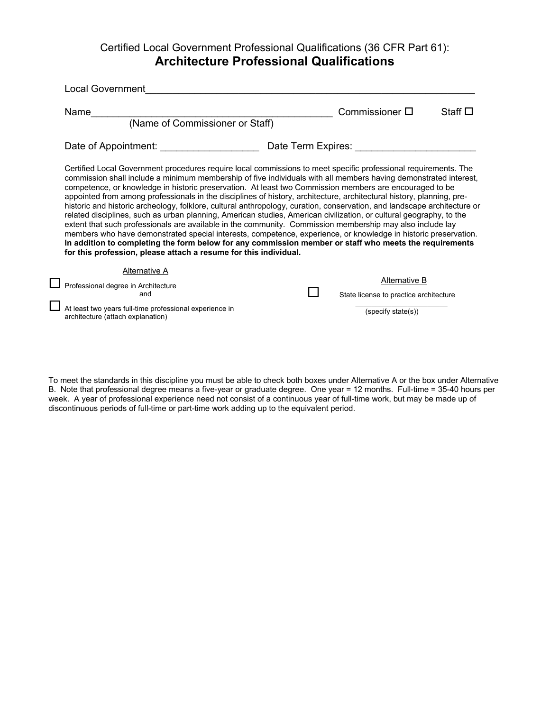## Certified Local Government Professional Qualifications (36 CFR Part 61): **Architecture Professional Qualifications**

| <b>Local Government</b>                                                                                                                                                                                                                                                                                                                                                                                                                                                                                                                                                                                                                                                                                                                                                                                                                                                                                                                                                                                                                                                                                                                  |                                                                               |                 |
|------------------------------------------------------------------------------------------------------------------------------------------------------------------------------------------------------------------------------------------------------------------------------------------------------------------------------------------------------------------------------------------------------------------------------------------------------------------------------------------------------------------------------------------------------------------------------------------------------------------------------------------------------------------------------------------------------------------------------------------------------------------------------------------------------------------------------------------------------------------------------------------------------------------------------------------------------------------------------------------------------------------------------------------------------------------------------------------------------------------------------------------|-------------------------------------------------------------------------------|-----------------|
| Name<br>(Name of Commissioner or Staff)                                                                                                                                                                                                                                                                                                                                                                                                                                                                                                                                                                                                                                                                                                                                                                                                                                                                                                                                                                                                                                                                                                  | Commissioner $\square$                                                        | Staff $\square$ |
| Date of Appointment: Date of Appointment:                                                                                                                                                                                                                                                                                                                                                                                                                                                                                                                                                                                                                                                                                                                                                                                                                                                                                                                                                                                                                                                                                                | Date Term Expires: Date Term                                                  |                 |
| Certified Local Government procedures require local commissions to meet specific professional requirements. The<br>commission shall include a minimum membership of five individuals with all members having demonstrated interest,<br>competence, or knowledge in historic preservation. At least two Commission members are encouraged to be<br>appointed from among professionals in the disciplines of history, architecture, architectural history, planning, pre-<br>historic and historic archeology, folklore, cultural anthropology, curation, conservation, and landscape architecture or<br>related disciplines, such as urban planning, American studies, American civilization, or cultural geography, to the<br>extent that such professionals are available in the community. Commission membership may also include lay<br>members who have demonstrated special interests, competence, experience, or knowledge in historic preservation.<br>In addition to completing the form below for any commission member or staff who meets the requirements<br>for this profession, please attach a resume for this individual. |                                                                               |                 |
| <b>Alternative A</b><br>Professional degree in Architecture<br>and<br>At least two years full-time professional experience in<br>architecture (attach explanation)                                                                                                                                                                                                                                                                                                                                                                                                                                                                                                                                                                                                                                                                                                                                                                                                                                                                                                                                                                       | Alternative B<br>State license to practice architecture<br>(specify state(s)) |                 |
|                                                                                                                                                                                                                                                                                                                                                                                                                                                                                                                                                                                                                                                                                                                                                                                                                                                                                                                                                                                                                                                                                                                                          |                                                                               |                 |

To meet the standards in this discipline you must be able to check both boxes under Alternative A or the box under Alternative B. Note that professional degree means a five-year or graduate degree. One year = 12 months. Full-time = 35-40 hours per week. A year of professional experience need not consist of a continuous year of full-time work, but may be made up of discontinuous periods of full-time or part-time work adding up to the equivalent period.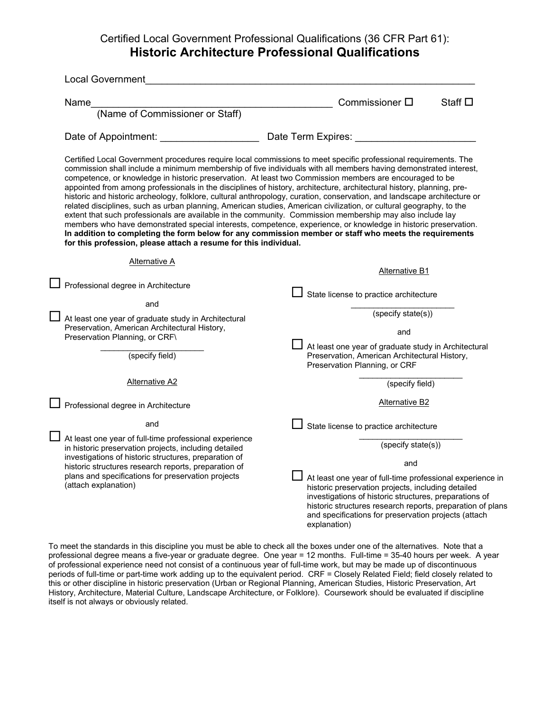## Certified Local Government Professional Qualifications (36 CFR Part 61): **Historic Architecture Professional Qualifications**

|  | <b>Local Government</b>                                                                                                                                                                                                                                                                                                                                                                                                                                                                                                                  |                                                                                                                                                                                                                                                                                                                                                                                                                                                                                                                                                                                              |
|--|------------------------------------------------------------------------------------------------------------------------------------------------------------------------------------------------------------------------------------------------------------------------------------------------------------------------------------------------------------------------------------------------------------------------------------------------------------------------------------------------------------------------------------------|----------------------------------------------------------------------------------------------------------------------------------------------------------------------------------------------------------------------------------------------------------------------------------------------------------------------------------------------------------------------------------------------------------------------------------------------------------------------------------------------------------------------------------------------------------------------------------------------|
|  | Name                                                                                                                                                                                                                                                                                                                                                                                                                                                                                                                                     | Commissioner $\square$<br>Staff $\square$                                                                                                                                                                                                                                                                                                                                                                                                                                                                                                                                                    |
|  | (Name of Commissioner or Staff)                                                                                                                                                                                                                                                                                                                                                                                                                                                                                                          |                                                                                                                                                                                                                                                                                                                                                                                                                                                                                                                                                                                              |
|  |                                                                                                                                                                                                                                                                                                                                                                                                                                                                                                                                          | Date of Appointment: Date Term Expires:                                                                                                                                                                                                                                                                                                                                                                                                                                                                                                                                                      |
|  | competence, or knowledge in historic preservation. At least two Commission members are encouraged to be<br>appointed from among professionals in the disciplines of history, architecture, architectural history, planning, pre-<br>related disciplines, such as urban planning, American studies, American civilization, or cultural geography, to the<br>extent that such professionals are available in the community. Commission membership may also include lay<br>for this profession, please attach a resume for this individual. | Certified Local Government procedures require local commissions to meet specific professional requirements. The<br>commission shall include a minimum membership of five individuals with all members having demonstrated interest,<br>historic and historic archeology, folklore, cultural anthropology, curation, conservation, and landscape architecture or<br>members who have demonstrated special interests, competence, experience, or knowledge in historic preservation.<br>In addition to completing the form below for any commission member or staff who meets the requirements |
|  | Alternative A                                                                                                                                                                                                                                                                                                                                                                                                                                                                                                                            | <b>Alternative B1</b>                                                                                                                                                                                                                                                                                                                                                                                                                                                                                                                                                                        |
|  | Professional degree in Architecture                                                                                                                                                                                                                                                                                                                                                                                                                                                                                                      | State license to practice architecture                                                                                                                                                                                                                                                                                                                                                                                                                                                                                                                                                       |
|  | and                                                                                                                                                                                                                                                                                                                                                                                                                                                                                                                                      | (specify state(s))                                                                                                                                                                                                                                                                                                                                                                                                                                                                                                                                                                           |
|  | $\perp$ At least one year of graduate study in Architectural<br>Preservation, American Architectural History,<br>Preservation Planning, or CRF\                                                                                                                                                                                                                                                                                                                                                                                          | and                                                                                                                                                                                                                                                                                                                                                                                                                                                                                                                                                                                          |
|  | (specify field)                                                                                                                                                                                                                                                                                                                                                                                                                                                                                                                          | At least one year of graduate study in Architectural<br>Preservation, American Architectural History,<br>Preservation Planning, or CRF                                                                                                                                                                                                                                                                                                                                                                                                                                                       |
|  | <b>Alternative A2</b>                                                                                                                                                                                                                                                                                                                                                                                                                                                                                                                    | (specify field)                                                                                                                                                                                                                                                                                                                                                                                                                                                                                                                                                                              |
|  | Professional degree in Architecture                                                                                                                                                                                                                                                                                                                                                                                                                                                                                                      | <b>Alternative B2</b>                                                                                                                                                                                                                                                                                                                                                                                                                                                                                                                                                                        |
|  | and                                                                                                                                                                                                                                                                                                                                                                                                                                                                                                                                      | State license to practice architecture                                                                                                                                                                                                                                                                                                                                                                                                                                                                                                                                                       |
|  | At least one year of full-time professional experience<br>in historic preservation projects, including detailed<br>investigations of historic structures, preparation of<br>historic structures research reports, preparation of                                                                                                                                                                                                                                                                                                         | (specify state(s))                                                                                                                                                                                                                                                                                                                                                                                                                                                                                                                                                                           |
|  |                                                                                                                                                                                                                                                                                                                                                                                                                                                                                                                                          | and                                                                                                                                                                                                                                                                                                                                                                                                                                                                                                                                                                                          |
|  | plans and specifications for preservation projects<br>(attach explanation)                                                                                                                                                                                                                                                                                                                                                                                                                                                               | At least one year of full-time professional experience in<br>historic preservation projects, including detailed<br>investigations of historic structures, preparations of<br>historic structures research reports, preparation of plans<br>and specifications for preservation projects (attach<br>explanation)                                                                                                                                                                                                                                                                              |

To meet the standards in this discipline you must be able to check all the boxes under one of the alternatives. Note that a professional degree means a five-year or graduate degree. One year = 12 months. Full-time = 35-40 hours per week. A year of professional experience need not consist of a continuous year of full-time work, but may be made up of discontinuous periods of full-time or part-time work adding up to the equivalent period. CRF = Closely Related Field; field closely related to this or other discipline in historic preservation (Urban or Regional Planning, American Studies, Historic Preservation, Art History, Architecture, Material Culture, Landscape Architecture, or Folklore). Coursework should be evaluated if discipline itself is not always or obviously related.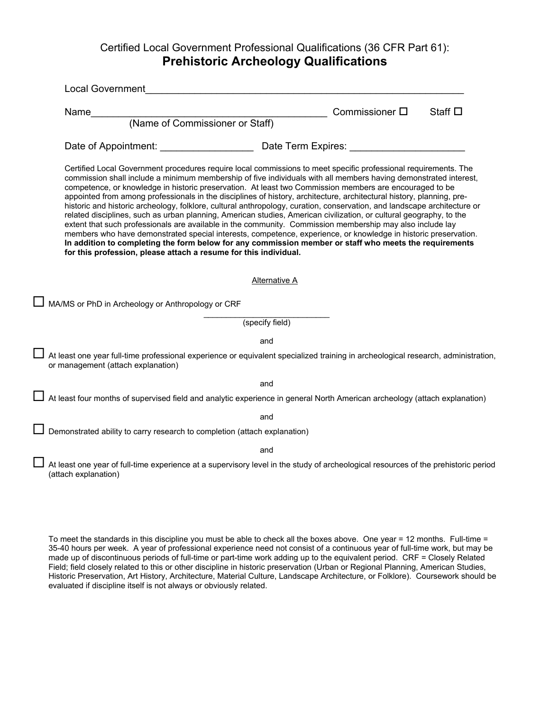# Certified Local Government Professional Qualifications (36 CFR Part 61): **Prehistoric Archeology Qualifications**

| (Name of Commissioner or Staff)<br>Certified Local Government procedures require local commissions to meet specific professional requirements. The<br>commission shall include a minimum membership of five individuals with all members having demonstrated interest,<br>competence, or knowledge in historic preservation. At least two Commission members are encouraged to be<br>appointed from among professionals in the disciplines of history, architecture, architectural history, planning, pre-<br>historic and historic archeology, folklore, cultural anthropology, curation, conservation, and landscape architecture or<br>related disciplines, such as urban planning, American studies, American civilization, or cultural geography, to the<br>extent that such professionals are available in the community. Commission membership may also include lay<br>members who have demonstrated special interests, competence, experience, or knowledge in historic preservation.<br>In addition to completing the form below for any commission member or staff who meets the requirements<br>for this profession, please attach a resume for this individual.<br><b>Alternative A</b><br>(specify field)<br>and<br>and<br>and<br>and | Name | Commissioner $\square$<br>Staff $\square$ |
|----------------------------------------------------------------------------------------------------------------------------------------------------------------------------------------------------------------------------------------------------------------------------------------------------------------------------------------------------------------------------------------------------------------------------------------------------------------------------------------------------------------------------------------------------------------------------------------------------------------------------------------------------------------------------------------------------------------------------------------------------------------------------------------------------------------------------------------------------------------------------------------------------------------------------------------------------------------------------------------------------------------------------------------------------------------------------------------------------------------------------------------------------------------------------------------------------------------------------------------------------|------|-------------------------------------------|
|                                                                                                                                                                                                                                                                                                                                                                                                                                                                                                                                                                                                                                                                                                                                                                                                                                                                                                                                                                                                                                                                                                                                                                                                                                                    |      |                                           |
| At least one year full-time professional experience or equivalent specialized training in archeological research, administration,<br>or management (attach explanation)<br>Demonstrated ability to carry research to completion (attach explanation)<br>At least one year of full-time experience at a supervisory level in the study of archeological resources of the prehistoric period                                                                                                                                                                                                                                                                                                                                                                                                                                                                                                                                                                                                                                                                                                                                                                                                                                                         |      |                                           |
| $\Box$ MA/MS or PhD in Archeology or Anthropology or CRF                                                                                                                                                                                                                                                                                                                                                                                                                                                                                                                                                                                                                                                                                                                                                                                                                                                                                                                                                                                                                                                                                                                                                                                           |      |                                           |
|                                                                                                                                                                                                                                                                                                                                                                                                                                                                                                                                                                                                                                                                                                                                                                                                                                                                                                                                                                                                                                                                                                                                                                                                                                                    |      |                                           |
|                                                                                                                                                                                                                                                                                                                                                                                                                                                                                                                                                                                                                                                                                                                                                                                                                                                                                                                                                                                                                                                                                                                                                                                                                                                    |      |                                           |
|                                                                                                                                                                                                                                                                                                                                                                                                                                                                                                                                                                                                                                                                                                                                                                                                                                                                                                                                                                                                                                                                                                                                                                                                                                                    |      |                                           |
| $\Box$ At least four months of supervised field and analytic experience in general North American archeology (attach explanation)                                                                                                                                                                                                                                                                                                                                                                                                                                                                                                                                                                                                                                                                                                                                                                                                                                                                                                                                                                                                                                                                                                                  |      |                                           |
|                                                                                                                                                                                                                                                                                                                                                                                                                                                                                                                                                                                                                                                                                                                                                                                                                                                                                                                                                                                                                                                                                                                                                                                                                                                    |      |                                           |
|                                                                                                                                                                                                                                                                                                                                                                                                                                                                                                                                                                                                                                                                                                                                                                                                                                                                                                                                                                                                                                                                                                                                                                                                                                                    |      |                                           |
|                                                                                                                                                                                                                                                                                                                                                                                                                                                                                                                                                                                                                                                                                                                                                                                                                                                                                                                                                                                                                                                                                                                                                                                                                                                    |      |                                           |
|                                                                                                                                                                                                                                                                                                                                                                                                                                                                                                                                                                                                                                                                                                                                                                                                                                                                                                                                                                                                                                                                                                                                                                                                                                                    |      |                                           |
|                                                                                                                                                                                                                                                                                                                                                                                                                                                                                                                                                                                                                                                                                                                                                                                                                                                                                                                                                                                                                                                                                                                                                                                                                                                    |      |                                           |
|                                                                                                                                                                                                                                                                                                                                                                                                                                                                                                                                                                                                                                                                                                                                                                                                                                                                                                                                                                                                                                                                                                                                                                                                                                                    |      |                                           |
| (attach explanation)                                                                                                                                                                                                                                                                                                                                                                                                                                                                                                                                                                                                                                                                                                                                                                                                                                                                                                                                                                                                                                                                                                                                                                                                                               |      |                                           |
|                                                                                                                                                                                                                                                                                                                                                                                                                                                                                                                                                                                                                                                                                                                                                                                                                                                                                                                                                                                                                                                                                                                                                                                                                                                    |      |                                           |

 made up of discontinuous periods of full-time or part-time work adding up to the equivalent period. CRF = Closely Related To meet the standards in this discipline you must be able to check all the boxes above. One year = 12 months. Full-time = 35-40 hours per week. A year of professional experience need not consist of a continuous year of full-time work, but may be Field; field closely related to this or other discipline in historic preservation (Urban or Regional Planning, American Studies, Historic Preservation, Art History, Architecture, Material Culture, Landscape Architecture, or Folklore). Coursework should be evaluated if discipline itself is not always or obviously related.